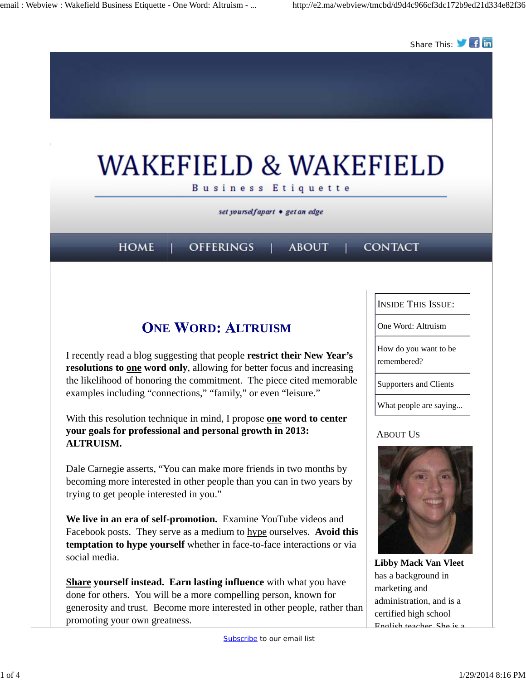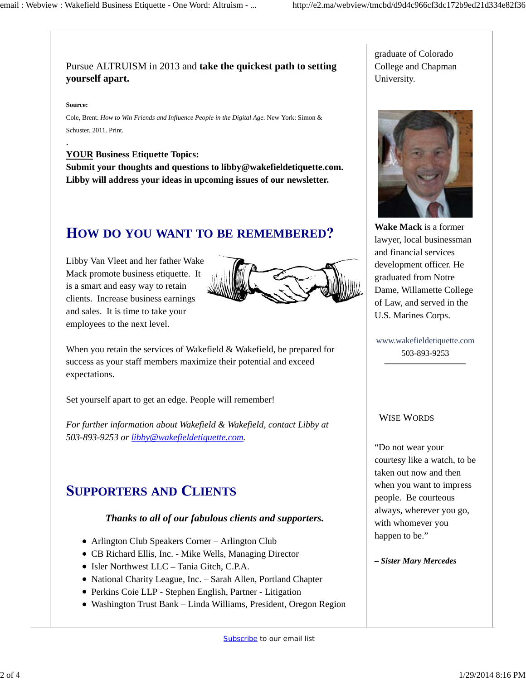### Pursue ALTRUISM in 2013 and **take the quickest path to setting yourself apart.**

#### **Source:**

.

Cole, Brent. *How to Win Friends and Influence People in the Digital Age*. New York: Simon & Schuster, 2011. Print.

### **YOUR Business Etiquette Topics:**

**Submit your thoughts and questions to libby@wakefieldetiquette.com. Libby will address your ideas in upcoming issues of our newsletter.**

## **OW DO YOU WANT TO BE REMEMBERED**

Libby Van Vleet and her father Wake Mack promote business etiquette. It is a smart and easy way to retain clients. Increase business earnings and sales. It is time to take your employees to the next level.



When you retain the services of Wakefield & Wakefield, be prepared for success as your staff members maximize their potential and exceed expectations.

Set yourself apart to get an edge. People will remember!

*For further information about Wakefield & Wakefield, contact Libby at 503-893-9253 or libby@wakefieldetiquette.com.*

## **UPPORTERS AND LIENTS**

#### *Thanks to all of our fabulous clients and supporters.*

- Arlington Club Speakers Corner Arlington Club
- CB Richard Ellis, Inc. Mike Wells, Managing Director
- Isler Northwest LLC Tania Gitch, C.P.A.
- National Charity League, Inc. Sarah Allen, Portland Chapter
- Perkins Coie LLP Stephen English, Partner Litigation
- Washington Trust Bank Linda Williams, President, Oregon Region

graduate of Colorado College and Chapman University.



**Wake Mack** is a former lawyer, local businessman and financial services development officer. He graduated from Notre Dame, Willamette College of Law, and served in the U.S. Marines Corps.

www.wakefieldetiquette.com 503-893-9253

#### WISE WORDS

"Do not wear your courtesy like a watch, to be taken out now and then when you want to impress people. Be courteous always, wherever you go, with whomever you happen to be."

*– Sister Mary Mercedes*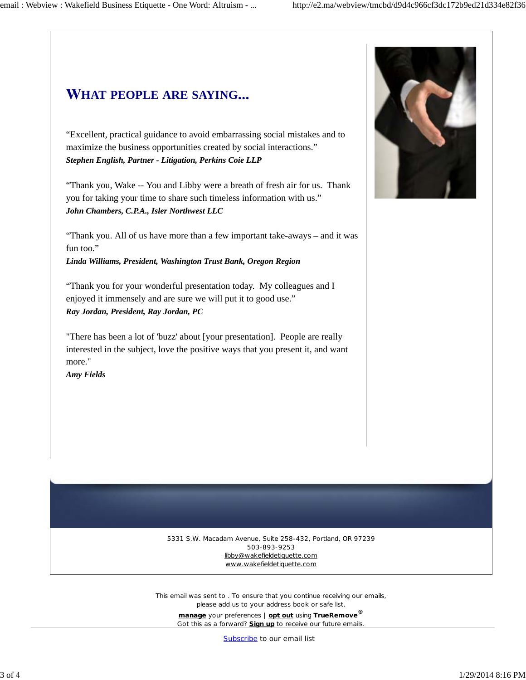# **HAT PEOPLE ARE SAYING**

"Excellent, practical guidance to avoid embarrassing social mistakes and to maximize the business opportunities created by social interactions." *Stephen English, Partner - Litigation, Perkins Coie LLP*

"Thank you, Wake -- You and Libby were a breath of fresh air for us. Thank you for taking your time to share such timeless information with us." *John Chambers, C.P.A., Isler Northwest LLC*

"Thank you. All of us have more than a few important take-aways – and it was fun too."

*Linda Williams, President, Washington Trust Bank, Oregon Region*

"Thank you for your wonderful presentation today. My colleagues and I enjoyed it immensely and are sure we will put it to good use." *Ray Jordan, President, Ray Jordan, PC*

"There has been a lot of 'buzz' about [your presentation]. People are really interested in the subject, love the positive ways that you present it, and want more."

*Amy Fields*



5331 S.W. Macadam Avenue, Suite 258-432, Portland, OR 97239 503-893-9253 libby@wakefieldetiquette.com www.wakefieldetiquette.com

This email was sent to . To ensure that you continue receiving our emails, please add us to your address book or safe list.

**manage** your preferences | **opt out** using **TrueRemove®** Got this as a forward? **Sign up** to receive our future emails.

Subscribe to our email list